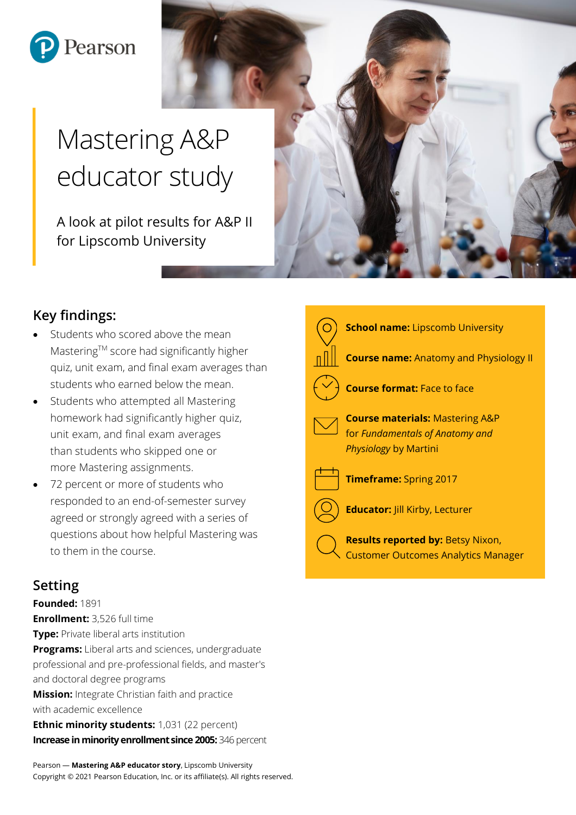

# Mastering A&P educator study

A look at pilot results for A&P II for Lipscomb University

# **Key findings:**

- Students who scored above the mean Mastering™ score had significantly higher quiz, unit exam, and final exam averages than students who earned below the mean.
- Students who attempted all Mastering homework had significantly higher quiz, unit exam, and final exam averages than students who skipped one or more Mastering assignments.
- 72 percent or more of students who responded to an end-of-semester survey agreed or strongly agreed with a series of questions about how helpful Mastering was to them in the course.

## **Setting**

**Founded:** 1891 **Enrollment:** 3,526 full time **Type:** Private liberal arts institution **Programs:** Liberal arts and sciences, undergraduate professional and pre-professional fields, and master's and doctoral degree programs **Mission:** Integrate Christian faith and practice with academic excellence **Ethnic minority students:** 1,031 (22 percent) **Increase in minority enrollment since 2005:** 346 percent

Pearson — **Mastering A&P educator story**, Lipscomb University Copyright © 2021 Pearson Education, Inc. or its affiliate(s). All rights reserved.





**School name:** Lipscomb University

**Course name:** Anatomy and Physiology II



**Course format:** Face to face

**Course materials:** Mastering A&P for *Fundamentals of Anatomy and Physiology* by Martini



**Timeframe:** Spring 2017

**Educator:** Jill Kirby, Lecturer

**Results reported by:** Betsy Nixon, Customer Outcomes Analytics Manager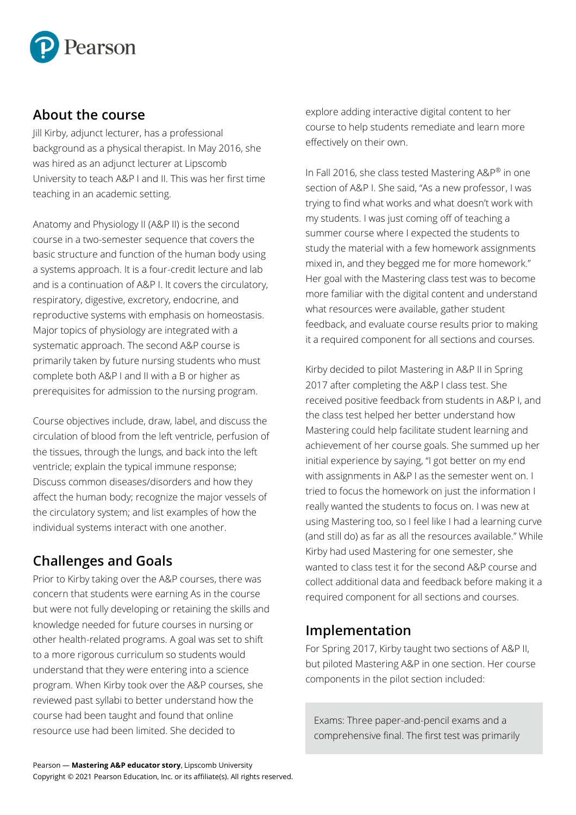

#### **About the course**

Jill Kirby, adjunct lecturer, has a professional background as a physical therapist. In May 2016, she was hired as an adjunct lecturer at Lipscomb University to teach A&P I and II. This was her first time teaching in an academic setting.

Anatomy and Physiology II (A&P II) is the second course in a two-semester sequence that covers the basic structure and function of the human body using a systems approach. It is a four-credit lecture and lab and is a continuation of A&P I. It covers the circulatory, respiratory, digestive, excretory, endocrine, and reproductive systems with emphasis on homeostasis. Major topics of physiology are integrated with a systematic approach. The second A&P course is primarily taken by future nursing students who must complete both A&P I and II with a B or higher as prerequisites for admission to the nursing program.

Course objectives include, draw, label, and discuss the circulation of blood from the left ventricle, perfusion of the tissues, through the lungs, and back into the left ventricle; explain the typical immune response; Discuss common diseases/disorders and how they affect the human body; recognize the major vessels of the circulatory system; and list examples of how the individual systems interact with one another.

# **Challenges and Goals**

Prior to Kirby taking over the A&P courses, there was concern that students were earning As in the course but were not fully developing or retaining the skills and knowledge needed for future courses in nursing or other health-related programs. A goal was set to shift to a more rigorous curriculum so students would understand that they were entering into a science program. When Kirby took over the A&P courses, she reviewed past syllabi to better understand how the course had been taught and found that online resource use had been limited. She decided to

explore adding interactive digital content to her course to help students remediate and learn more effectively on their own.

In Fall 2016, she class tested Mastering A&P® in one section of A&P I. She said, "As a new professor, I was trying to find what works and what doesn't work with my students. I was just coming off of teaching a summer course where I expected the students to study the material with a few homework assignments mixed in, and they begged me for more homework." Her goal with the Mastering class test was to become more familiar with the digital content and understand what resources were available, gather student feedback, and evaluate course results prior to making it a required component for all sections and courses.

Kirby decided to pilot Mastering in A&P II in Spring 2017 after completing the A&P I class test. She received positive feedback from students in A&P I, and the class test helped her better understand how Mastering could help facilitate student learning and achievement of her course goals. She summed up her initial experience by saying, "I got better on my end with assignments in A&P I as the semester went on. I tried to focus the homework on just the information I really wanted the students to focus on. I was new at using Mastering too, so I feel like I had a learning curve (and still do) as far as all the resources available." While Kirby had used Mastering for one semester, she wanted to class test it for the second A&P course and collect additional data and feedback before making it a required component for all sections and courses.

## **Implementation**

For Spring 2017, Kirby taught two sections of A&P II, but piloted Mastering A&P in one section. Her course components in the pilot section included:

Exams: Three paper-and-pencil exams and a comprehensive final. The first test was primarily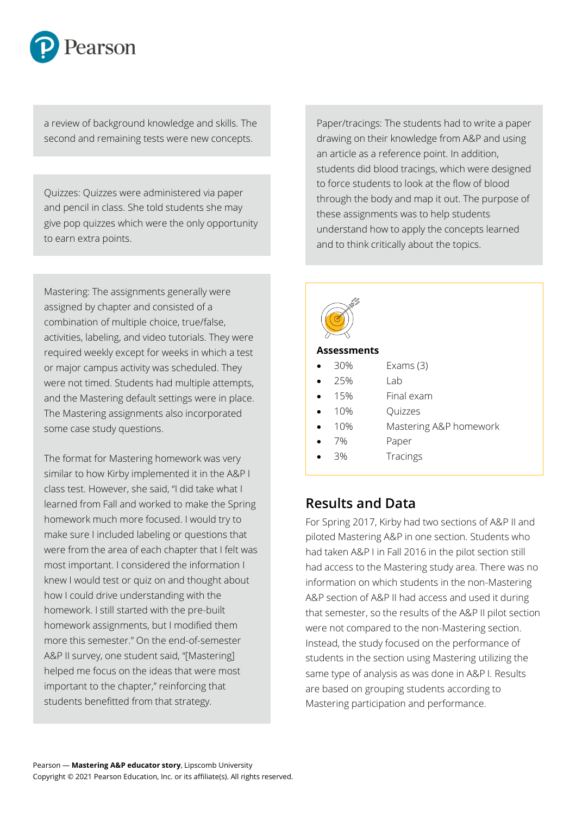

a review of background knowledge and skills. The second and remaining tests were new concepts.

 Quizzes: Quizzes were administered via paper and pencil in class. She told students she may give pop quizzes which were the only opportunity to earn extra points.

iviastering. The assignments generally w<br>assigned by chapter and consisted of a Mastering: The assignments generally were combination of multiple choice, true/false, activities, labeling, and video tutorials. They were required weekly except for weeks in which a test or major campus activity was scheduled. They were not timed. Students had multiple attempts, and the Mastering default settings were in place. The Mastering assignments also incorporated some case study questions.

The format for Mastering homework was very similar to how Kirby implemented it in the A&P I class test. However, she said, "I did take what I learned from Fall and worked to make the Spring homework much more focused. I would try to make sure I included labeling or questions that were from the area of each chapter that I felt was most important. I considered the information I knew I would test or quiz on and thought about how I could drive understanding with the homework. I still started with the pre-built homework assignments, but I modified them more this semester." On the end-of-semester A&P II survey, one student said, "[Mastering] helped me focus on the ideas that were most important to the chapter," reinforcing that students benefitted from that strategy.

Paper/tracings: The students had to write a paper drawing on their knowledge from A&P and using an article as a reference point. In addition, students did blood tracings, which were designed to force students to look at the flow of blood through the body and map it out. The purpose of these assignments was to help students understand how to apply the concepts learned and to think critically about the topics.

| $\frac{1}{15}$     |     |                        |
|--------------------|-----|------------------------|
| <b>Assessments</b> |     |                        |
|                    | 30% | Exams $(3)$            |
|                    | 25% | Lab                    |
|                    | 15% | Final exam             |
|                    | 10% | Quizzes                |
|                    | 10% | Mastering A&P homework |
|                    | 7%  | Paper                  |
|                    | 3%  | Tracings               |

## **Results and Data**

For Spring 2017, Kirby had two sections of A&P II and piloted Mastering A&P in one section. Students who had taken A&P I in Fall 2016 in the pilot section still had access to the Mastering study area. There was no information on which students in the non-Mastering A&P section of A&P II had access and used it during that semester, so the results of the A&P II pilot section were not compared to the non-Mastering section. Instead, the study focused on the performance of students in the section using Mastering utilizing the same type of analysis as was done in A&P I. Results are based on grouping students according to Mastering participation and performance.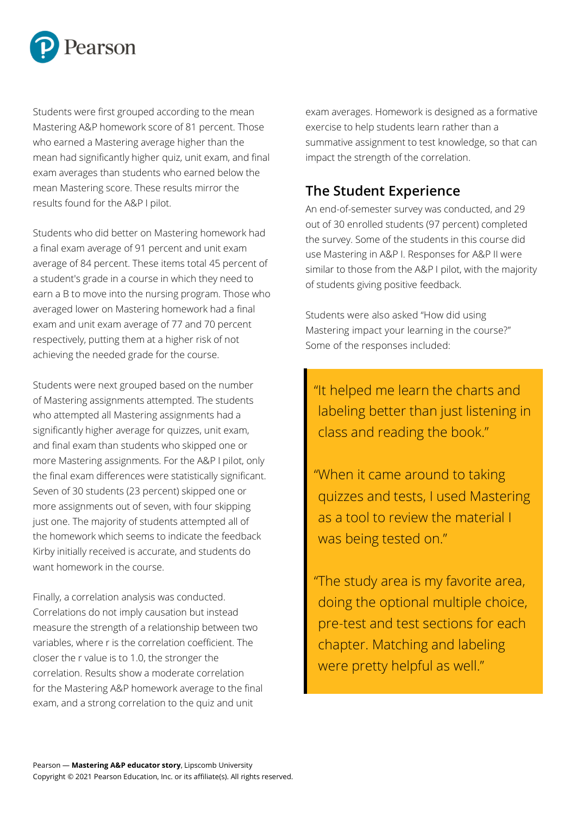

Students were first grouped according to the mean Mastering A&P homework score of 81 percent. Those who earned a Mastering average higher than the mean had significantly higher quiz, unit exam, and final exam averages than students who earned below the mean Mastering score. These results mirror the results found for the A&P I pilot.

Students who did better on Mastering homework had a final exam average of 91 percent and unit exam average of 84 percent. These items total 45 percent of a student's grade in a course in which they need to earn a B to move into the nursing program. Those who averaged lower on Mastering homework had a final exam and unit exam average of 77 and 70 percent respectively, putting them at a higher risk of not achieving the needed grade for the course.

Students were next grouped based on the number of Mastering assignments attempted. The students who attempted all Mastering assignments had a significantly higher average for quizzes, unit exam, and final exam than students who skipped one or more Mastering assignments. For the A&P I pilot, only the final exam differences were statistically significant. Seven of 30 students (23 percent) skipped one or more assignments out of seven, with four skipping just one. The majority of students attempted all of the homework which seems to indicate the feedback Kirby initially received is accurate, and students do want homework in the course.

Finally, a correlation analysis was conducted. Correlations do not imply causation but instead measure the strength of a relationship between two variables, where r is the correlation coefficient. The closer the r value is to 1.0, the stronger the correlation. Results show a moderate correlation for the Mastering A&P homework average to the final exam, and a strong correlation to the quiz and unit

exam averages. Homework is designed as a formative exercise to help students learn rather than a summative assignment to test knowledge, so that can impact the strength of the correlation.

## **The Student Experience**

An end-of-semester survey was conducted, and 29 out of 30 enrolled students (97 percent) completed the survey. Some of the students in this course did use Mastering in A&P I. Responses for A&P II were similar to those from the A&P I pilot, with the majority of students giving positive feedback.

Students were also asked "How did using Mastering impact your learning in the course?" Some of the responses included:

"It helped me learn the charts and labeling better than just listening in class and reading the book."

"When it came around to taking quizzes and tests, I used Mastering as a tool to review the material I was being tested on."

"The study area is my favorite area, doing the optional multiple choice, pre-test and test sections for each chapter. Matching and labeling were pretty helpful as well."